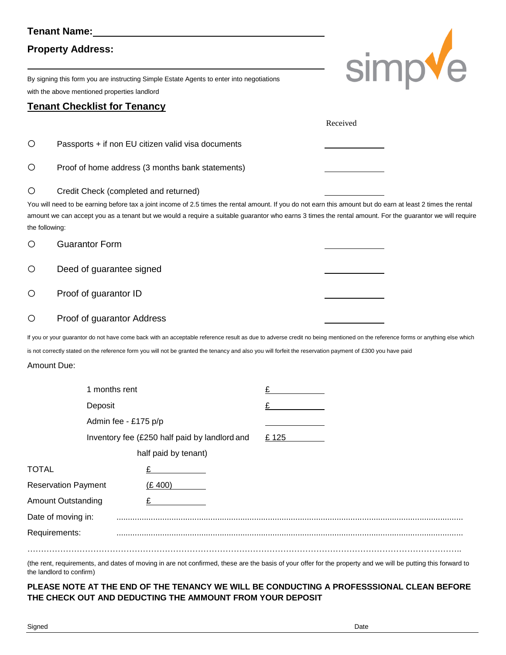## **Tenant Name:**

# **Property Address:**

By signing this form you are instructing Simple Estate Agents to enter into negotiations with the above mentioned properties landlord

## **Tenant Checklist for Tenancy**

| simpve |  |
|--------|--|

|                                       |                                                  |                                                                                                                                                                                                                                                                                                                                           |       | Received |  |
|---------------------------------------|--------------------------------------------------|-------------------------------------------------------------------------------------------------------------------------------------------------------------------------------------------------------------------------------------------------------------------------------------------------------------------------------------------|-------|----------|--|
| O                                     |                                                  | Passports + if non EU citizen valid visa documents                                                                                                                                                                                                                                                                                        |       |          |  |
| O                                     | Proof of home address (3 months bank statements) |                                                                                                                                                                                                                                                                                                                                           |       |          |  |
| Ő<br>the following:                   | Credit Check (completed and returned)            | You will need to be earning before tax a joint income of 2.5 times the rental amount. If you do not earn this amount but do earn at least 2 times the rental<br>amount we can accept you as a tenant but we would a require a suitable guarantor who earns 3 times the rental amount. For the guarantor we will require                   |       |          |  |
| O                                     | <b>Guarantor Form</b>                            |                                                                                                                                                                                                                                                                                                                                           |       |          |  |
| O                                     | Deed of guarantee signed                         |                                                                                                                                                                                                                                                                                                                                           |       |          |  |
| O                                     | Proof of guarantor ID                            |                                                                                                                                                                                                                                                                                                                                           |       |          |  |
| O                                     | Proof of guarantor Address                       |                                                                                                                                                                                                                                                                                                                                           |       |          |  |
| Amount Due:                           |                                                  | If you or your guarantor do not have come back with an acceptable reference result as due to adverse credit no being mentioned on the reference forms or anything else which<br>is not correctly stated on the reference form you will not be granted the tenancy and also you will forfeit the reservation payment of £300 you have paid |       |          |  |
|                                       | 1 months rent                                    |                                                                                                                                                                                                                                                                                                                                           | £     |          |  |
|                                       | Deposit                                          |                                                                                                                                                                                                                                                                                                                                           |       |          |  |
|                                       | Admin fee - £175 p/p                             |                                                                                                                                                                                                                                                                                                                                           |       |          |  |
|                                       |                                                  | Inventory fee (£250 half paid by landlord and                                                                                                                                                                                                                                                                                             | £ 125 |          |  |
|                                       |                                                  | half paid by tenant)                                                                                                                                                                                                                                                                                                                      |       |          |  |
| <b>TOTAL</b>                          |                                                  |                                                                                                                                                                                                                                                                                                                                           |       |          |  |
| (E 400)<br><b>Reservation Payment</b> |                                                  |                                                                                                                                                                                                                                                                                                                                           |       |          |  |
|                                       | <b>Amount Outstanding</b>                        |                                                                                                                                                                                                                                                                                                                                           |       |          |  |
|                                       | Date of moving in:<br>Requirements:              |                                                                                                                                                                                                                                                                                                                                           |       |          |  |
|                                       |                                                  |                                                                                                                                                                                                                                                                                                                                           |       |          |  |

(the rent, requirements, and dates of moving in are not confirmed, these are the basis of your offer for the property and we will be putting this forward to the landlord to confirm)

**PLEASE NOTE AT THE END OF THE TENANCY WE WILL BE CONDUCTING A PROFESSSIONAL CLEAN BEFORE THE CHECK OUT AND DEDUCTING THE AMMOUNT FROM YOUR DEPOSIT**